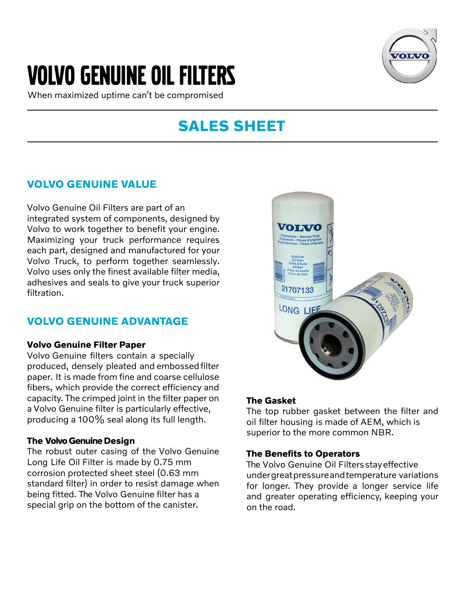# Volvo Genuine OIL filters

When maximized uptime can't be compromised



# **SALES SHEET**

### **VOLVO GENUINE VALUE**

Volvo Genuine Oil Filters are part of an integrated system of components, designed by Volvo to work together to benefit your engine. Maximizing your truck performance requires each part, designed and manufactured for your Volvo Truck, to perform together seamlessly. Volvo uses only the finest available filter media, adhesives and seals to give your truck superior filtration.

# **VOLVO GENUINE ADVANTAGE**

#### **Volvo Genuine Filter Paper**

Volvo Genuine filters contain a specially produced, densely pleated and embossedfilter paper. It is made from fine and coarse cellulose fibers, which provide the correct efficiency and capacity. The crimped joint in the filter paper on a Volvo Genuine filter is particularly effective, producing a 100% seal along its full length.

### **The Volvo Genuine Design**

The robust outer casing of the Volvo Genuine Long Life Oil Filter is made by 0.75 mm corrosion protected sheet steel (0.63 mm standard filter) in order to resist damage when being fitted. The Volvo Genuine filter has a special grip on the bottom of the canister.



### **The Gasket**

The top rubber gasket between the filter and oil filter housing is made of AEM, which is superior to the more common NBR.

### **The Benefits to Operators**

The Volvo Genuine Oil Filters stay effective undergreatpressureandtemperature variations for longer. They provide a longer service life and greater operating efficiency, keeping your on the road.